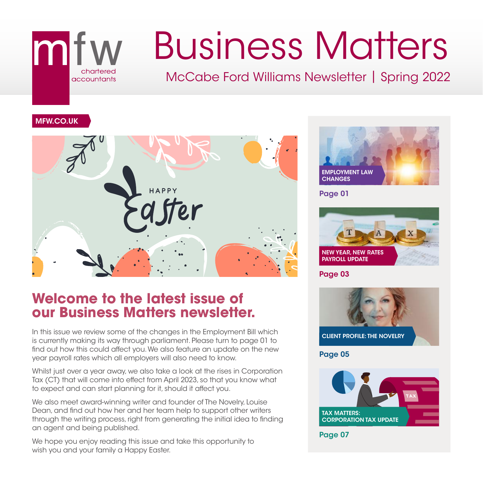## mi accountants

# Business Matters

McCabe Ford Williams Newsletter | Spring 2022

#### MFW.CO.UK



### **Welcome to the latest issue of our Business Matters newsletter.**

In this issue we review some of the changes in the Employment Bill which is currently making its way through parliament. Please turn to page 01 to find out how this could affect you. We also feature an update on the new year payroll rates which all employers will also need to know.

Whilst just over a year away, we also take a look at the rises in Corporation Tax (CT) that will come into effect from April 2023, so that you know what to expect and can start planning for it, should it affect you.

We also meet award-winning writer and founder of The Novelry, Louise Dean, and find out how her and her team help to support other writers through the writing process, right from generating the initial idea to finding an agent and being published.

We hope you enjoy reading this issue and take this opportunity to wish you and your family a Happy Easter.



Page 01



Page 03

![](_page_0_Picture_14.jpeg)

Page 05

![](_page_0_Picture_16.jpeg)

Page 07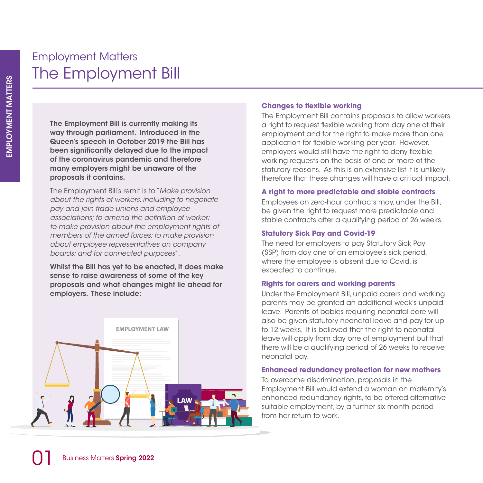## Employment Matters The Employment Bill

The Employment Bill is currently making its way through parliament. Introduced in the Queen's speech in October 2019 the Bill has been significantly delayed due to the impact of the coronavirus pandemic and therefore many employers might be unaware of the proposals it contains.

The Employment Bill's remit is to "*Make provision about the rights of workers, including to negotiate pay and join trade unions and employee associations; to amend the definition of worker; to make provision about the employment rights of members of the armed forces; to make provision about employee representatives on company boards; and for connected purposes*".

Whilst the Bill has yet to be enacted, it does make sense to raise awareness of some of the key proposals and what changes might lie ahead for employers. These include:

![](_page_1_Picture_5.jpeg)

#### **Changes to flexible working**

The Employment Bill contains proposals to allow workers a right to request flexible working from day one of their employment and for the right to make more than one application for flexible working per year. However, employers would still have the right to deny flexible working requests on the basis of one or more of the statutory reasons. As this is an extensive list it is unlikely therefore that these changes will have a critical impact.

#### **A right to more predictable and stable contracts**

Employees on zero-hour contracts may, under the Bill, be given the right to request more predictable and stable contracts after a qualifying period of 26 weeks.

#### **Statutory Sick Pay and Covid-19**

The need for employers to pay Statutory Sick Pay (SSP) from day one of an employee's sick period, where the employee is absent due to Covid, is expected to continue.

#### **Rights for carers and working parents**

Under the Employment Bill, unpaid carers and working parents may be granted an additional week's unpaid leave. Parents of babies requiring neonatal care will also be given statutory neonatal leave and pay for up to 12 weeks. It is believed that the right to neonatal leave will apply from day one of employment but that there will be a qualifying period of 26 weeks to receive neonatal pay.

#### **Enhanced redundancy protection for new mothers**

To overcome discrimination, proposals in the Employment Bill would extend a woman on maternity's enhanced redundancy rights, to be offered alternative suitable employment, by a further six-month period from her return to work.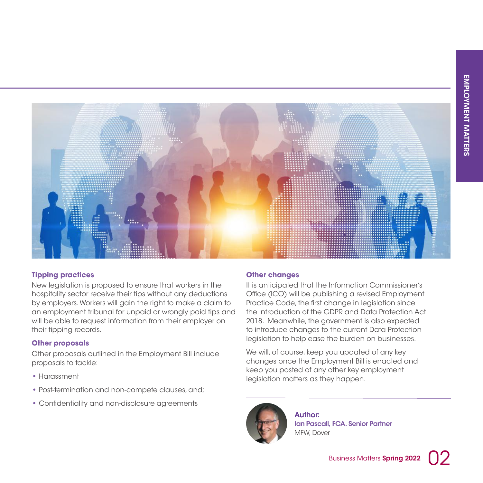![](_page_2_Picture_1.jpeg)

#### **Tipping practices**

New legislation is proposed to ensure that workers in the hospitality sector receive their tips without any deductions by employers. Workers will gain the right to make a claim to an employment tribunal for unpaid or wrongly paid tips and will be able to request information from their employer on their tipping records.

#### **Other proposals**

Other proposals outlined in the Employment Bill include proposals to tackle:

- **•** Harassment
- **•** Post-termination and non-compete clauses, and;
- **•** Confidentiality and non-disclosure agreements

#### **Other changes**

It is anticipated that the Information Commissioner's Office (ICO) will be publishing a revised Employment Practice Code, the first change in legislation since the introduction of the GDPR and Data Protection Act 2018. Meanwhile, the government is also expected to introduce changes to the current Data Protection legislation to help ease the burden on businesses.

We will, of course, keep you updated of any key changes once the Employment Bill is enacted and keep you posted of any other key employment legislation matters as they happen.

![](_page_2_Picture_12.jpeg)

Author: Ian Pascall, FCA. Senior Partner MFW, Dover

![](_page_2_Picture_15.jpeg)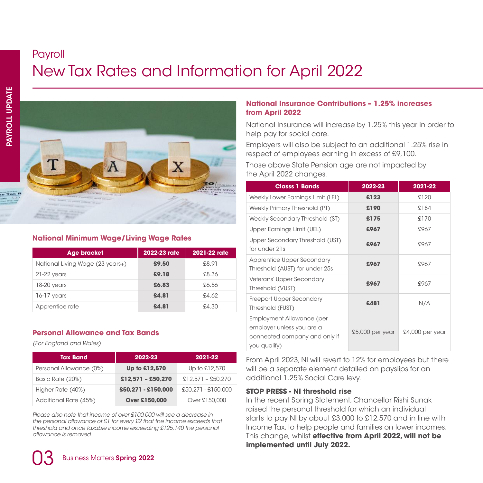## Payroll New Tax Rates and Information for April 2022

![](_page_3_Picture_2.jpeg)

#### **National Minimum Wage/Living Wage Rates**

| <b>Age bracket</b>               | 2022-23 rate | 2021-22 rate |
|----------------------------------|--------------|--------------|
| National Living Wage (23 years+) | £9.50        | £8.91        |
| $21-22$ years                    | £9.18        | £8.36        |
| 18-20 years                      | £6.83        | £6.56        |
| $16-17$ years                    | £4.81        | SA 62        |
| Apprentice rate                  | £4.81        | £4.30        |

#### **Personal Allowance and Tax Bands**

*(For England and Wales)*

| <b>Tax Band</b>         | 2022-23             | 2021-22             |
|-------------------------|---------------------|---------------------|
| Personal Allowance (0%) | Up to £12,570       | Up to £12,570       |
| Basic Rate (20%)        | $$12,571 - $50,270$ | $£12,571 - £50,270$ |
| Higher Rate (40%)       | £50,271 - £150,000  | £50.271 - £150.000  |
| Additional Rate (45%)   | Over £150,000       | Over £150,000       |

*Please also note that income of over £100,000 will see a decrease in the personal allowance of £1 for every £2 that the income exceeds that threshold and once taxable income exceeding £125,140 the personal allowance is removed.*

#### **National Insurance Contributions – 1.25% increases from April 2022**

National Insurance will increase by 1.25% this year in order to help pay for social care.

Employers will also be subject to an additional 1.25% rise in respect of employees earning in excess of £9,100.

Those above State Pension age are not impacted by the April 2022 changes.

| <b>Classs 1 Bands</b>                                                                                   | 2022-23           | 2021-22         |
|---------------------------------------------------------------------------------------------------------|-------------------|-----------------|
| Weekly Lower Earnings Limit (LEL)                                                                       | £123              | £120            |
| Weekly Primary Threshold (PT)                                                                           | £190              | £184            |
| Weekly Secondary Threshold (ST)                                                                         | £175              | £170            |
| Upper Earnings Limit (UEL)                                                                              | £967              | £967            |
| Upper Secondary Threshold (UST)<br>for under 21s                                                        | £967              | £967            |
| Apprentice Upper Secondary<br>Threshold (AUST) for under 25s                                            | £967              | £967            |
| Veterans' Upper Secondary<br>Threshold (VUST)                                                           | £967              | £967            |
| Freeport Upper Secondary<br>Threshold (FUST)                                                            | £481              | N/A             |
| Employment Allowance (per<br>employer unless you are a<br>connected company and only if<br>you qualify) | $£5,000$ per year | £4,000 per year |

From April 2023, NI will revert to 12% for employees but there will be a separate element detailed on payslips for an additional 1.25% Social Care levy.

#### **STOP PRESS - NI threshold rise**

In the recent Spring Statement, Chancellor Rishi Sunak raised the personal threshold for which an individual starts to pay NI by about £3,000 to £12,570 and in line with Income Tax, to help people and families on lower incomes. This change, whilst **effective from April 2022, will not be implemented until July 2022.**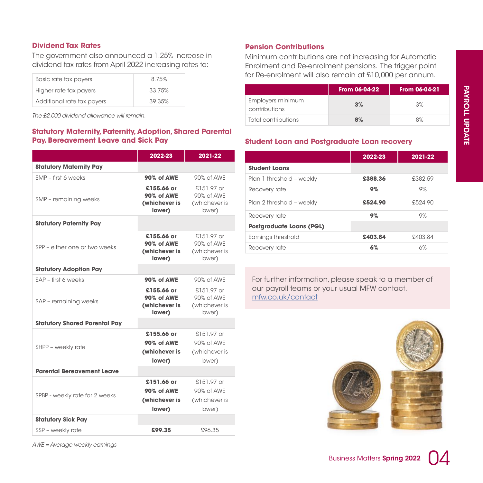#### **Dividend Tax Rates**

The government also announced a 1.25% increase in dividend tax rates from April 2022 increasing rates to:

| Basic rate tax payers      | 8.75%  |
|----------------------------|--------|
| Higher rate tax payers     | 33.75% |
| Additional rate tax payers | 39 35% |

*The £2,000 dividend allowance will remain.*

## **Statutory Maternity, Paternity, Adoption, Shared Parental**

|                                      | 2022-23                                                    | 2021-22                                               |
|--------------------------------------|------------------------------------------------------------|-------------------------------------------------------|
| <b>Statutory Maternity Pay</b>       |                                                            |                                                       |
| SMP - first 6 weeks                  | 90% of AWE                                                 | 90% of AWE                                            |
| SMP - remaining weeks                | £155.66 or<br><b>90% of AWE</b><br>(whichever is<br>lower) | $$151.97$ or<br>90% of AWE<br>(whichever is<br>lower) |
| <b>Statutory Paternity Pay</b>       |                                                            |                                                       |
| SPP - either one or two weeks        | £155.66 or<br>90% of AWE<br>(whichever is<br>lower)        | £151.97 or<br>90% of AWF<br>(whichever is<br>lower)   |
| <b>Statutory Adoption Pay</b>        |                                                            |                                                       |
| SAP - first 6 weeks                  | 90% of AWE                                                 | 90% of AWE                                            |
| SAP - remaining weeks                | £155.66 or<br><b>90% of AWE</b><br>(whichever is<br>lower) | $$151.97$ or<br>90% of AWE<br>(whichever is<br>lower) |
| <b>Statutory Shared Parental Pay</b> |                                                            |                                                       |
| SHPP - weekly rate                   | £155.66 or<br>90% of AWE<br>(whichever is<br>lower)        | $$151.97$ or<br>90% of AWE<br>(whichever is<br>lower) |
| <b>Parental Bereavement Leave</b>    |                                                            |                                                       |
| SPBP - weekly rate for 2 weeks       | £151.66 or<br>90% of AWE<br>(whichever is<br>lower)        | £151.97 or<br>90% of AWF<br>(whichever is<br>lower)   |
| <b>Statutory Sick Pay</b>            |                                                            |                                                       |
| SSP - weekly rate                    | £99.35                                                     | £96.35                                                |

*AWE = Average weekly earnings*

#### **Pension Contributions**

Minimum contributions are not increasing for Automatic Enrolment and Re-enrolment pensions. The trigger point for Re-enrolment will also remain at £10,000 per annum.

|                                    | From 06-04-22 | From 06-04-21 |
|------------------------------------|---------------|---------------|
| Employers minimum<br>contributions | 3%            | 3%            |
| Total contributions                | 8%            | 8%            |

#### **Student Loan and Postgraduate Loan recovery**

|                                 | 2022-23 | 2021-22 |
|---------------------------------|---------|---------|
| <b>Student Loans</b>            |         |         |
| Plan 1 threshold - weekly       | £388.36 | £382.59 |
| Recovery rate                   | 9%      | 9%      |
| Plan 2 threshold - weekly       | £524.90 | £524.90 |
| Recovery rate                   | 9%      | 9%      |
| <b>Postgraduate Loans (PGL)</b> |         |         |
| Earnings threshold              | £403.84 | £403.84 |
| Recovery rate                   | 6%      | 6%      |

For further information, please speak to a member of our payroll teams or your usual MFW contact. mfw.co.uk/contact

![](_page_4_Picture_14.jpeg)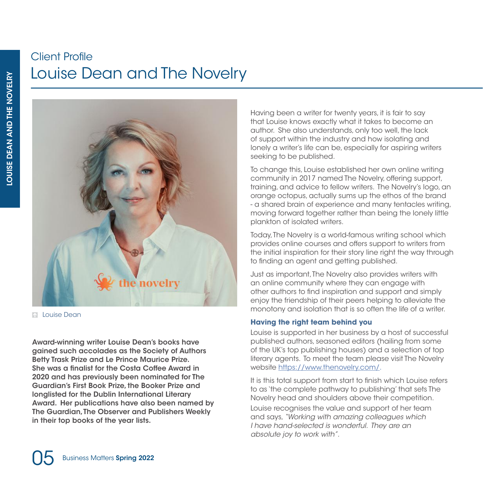## Client Profile Louise Dean and The Novelry

![](_page_5_Picture_1.jpeg)

**Mathematical** 

Award-winning writer Louise Dean's books have gained such accolades as the Society of Authors Betty Trask Prize and Le Prince Maurice Prize. She was a finalist for the Costa Coffee Award in 2020 and has previously been nominated for The Guardian's First Book Prize, the Booker Prize and longlisted for the Dublin International Literary Award. Her publications have also been named by The Guardian, The Observer and Publishers Weekly in their top books of the year lists.

Having been a writer for twenty years, it is fair to say that Louise knows exactly what it takes to become an author. She also understands, only too well, the lack of support within the industry and how isolating and lonely a writer's life can be, especially for aspiring writers seeking to be published.

To change this, Louise established her own online writing community in 2017 named The Novelry, offering support, training, and advice to fellow writers. The Novelry's logo, an orange octopus, actually sums up the ethos of the brand - a shared brain of experience and many tentacles writing, moving forward together rather than being the lonely little plankton of isolated writers.

Today, The Novelry is a world-famous writing school which provides online courses and offers support to writers from the initial inspiration for their story line right the way through to finding an agent and getting published.

Just as important, The Novelry also provides writers with an online community where they can engage with other authors to find inspiration and support and simply enjoy the friendship of their peers helping to alleviate the monotony and isolation that is so often the life of a writer.

#### **Having the right team behind you**

Louise is supported in her business by a host of successful published authors, seasoned editors (hailing from some of the UK's top publishing houses) and a selection of top literary agents. To meet the team please visit The Novelry website https://www.thenovelry.com/.

It is this total support from start to finish which Louise refers to as 'the complete pathway to publishing' that sets The Novelry head and shoulders above their competition.

Louise recognises the value and support of her team and says, *"Working with amazing colleagues which I have hand-selected is wonderful. They are an absolute joy to work with".*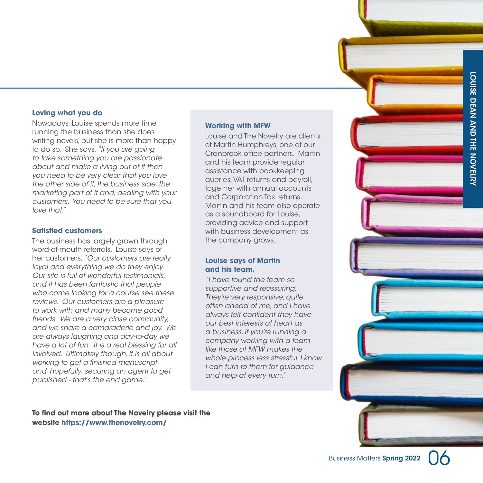LOUISE DEAN AND THE NOVELRY

#### **Loving what you do**

Nowadays, Louise spends more time running the business than she does writing novels, but she is more than happy to do so. She says, *"If you are going to take something you are passionate about and make a living out of it then you need to be very clear that you love the other side of it, the business side, the marketing part of it and, dealing with your customers. You need to be sure that you love that."*

#### **Satisfied customers**

The business has largely grown through word-of-mouth referrals. Louise says of her customers, *"Our customers are really loyal and everything we do they enjoy. Our site is full of wonderful testimonials, and it has been fantastic that people who come looking for a course see these reviews. Our customers are a pleasure to work with and many become good friends. We are a very close community, and we share a camaraderie and joy. We are always laughing and day-to-day we have a lot of fun. It is a real blessing for all involved. Ultimately though, it is all about working to get a finished manuscript and, hopefully, securing an agent to get published - that's the end game."*

#### **Working with MFW**

Louise and The Novelry are clients of Martin Humphreys, one of our Cranbrook office partners. Martin and his team provide regular assistance with bookkeeping queries, VAT returns and payroll, together with annual accounts and Corporation Tax returns. Martin and his team also operate as a soundboard for Louise, providing advice and support with business development as the company grows.

#### **Louise says of Martin and his team,**

*"I have found the team so supportive and reassuring. They're very responsive, quite often ahead of me, and I have always felt confident they have our best interests at heart as a business. If you're running a company working with a team like those at MFW makes the whole process less stressful. I know I can turn to them for guidance and help at every turn."*

**To find out more about The Novelry please visit the website https://www.thenovelry.com/**

![](_page_6_Picture_11.jpeg)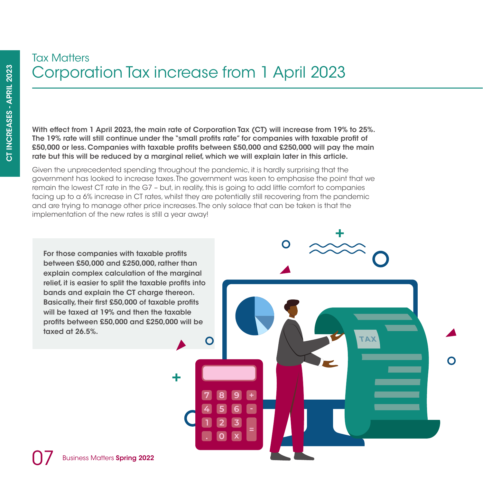## Tax Matters Corporation Tax increase from 1 April 2023

With effect from 1 April 2023, the main rate of Corporation Tax (CT) will increase from 19% to 25%. The 19% rate will still continue under the "small profits rate" for companies with taxable profit of £50,000 or less. Companies with taxable profits between £50,000 and £250,000 will pay the main rate but this will be reduced by a marginal relief, which we will explain later in this article.

Given the unprecedented spending throughout the pandemic, it is hardly surprising that the government has looked to increase taxes. The government was keen to emphasise the point that we remain the lowest CT rate in the G7 – but, in reality, this is going to add little comfort to companies facing up to a 6% increase in CT rates, whilst they are potentially still recovering from the pandemic and are trying to manage other price increases. The only solace that can be taken is that the implementation of the new rates is still a year away!

C

**XAT** 

For those companies with taxable profits between £50,000 and £250,000, rather than explain complex calculation of the marginal relief, it is easier to split the taxable profits into bands and explain the CT charge thereon. Basically, their first £50,000 of taxable profits will be taxed at 19% and then the taxable profits between £50,000 and £250,000 will be taxed at 26.5%.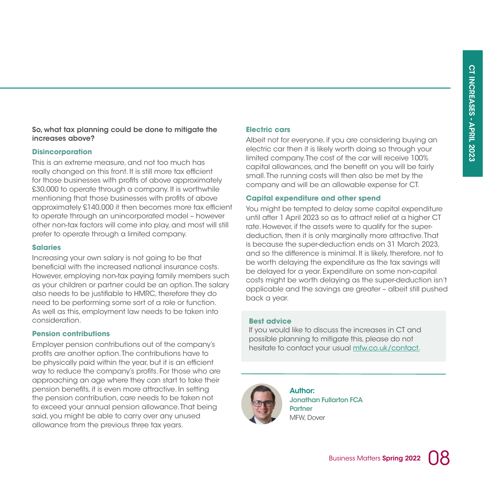#### So, what tax planning could be done to mitigate the increases above?

#### **Disincorporation**

This is an extreme measure, and not too much has really changed on this front. It is still more tax efficient for those businesses with profits of above approximately £30,000 to operate through a company. It is worthwhile mentioning that those businesses with profits of above approximately £140,000 it then becomes more tax efficient to operate through an unincorporated model – however other non-tax factors will come into play, and most will still prefer to operate through a limited company.

#### **Salaries**

Increasing your own salary is not going to be that beneficial with the increased national insurance costs. However, employing non-tax paying family members such as your children or partner could be an option. The salary also needs to be justifiable to HMRC, therefore they do need to be performing some sort of a role or function. As well as this, employment law needs to be taken into consideration.

#### **Pension contributions**

Employer pension contributions out of the company's profits are another option. The contributions have to be physically paid within the year, but it is an efficient way to reduce the company's profits. For those who are approaching an age where they can start to take their pension benefits, it is even more attractive. In setting the pension contribution, care needs to be taken not to exceed your annual pension allowance. That being said, you might be able to carry over any unused allowance from the previous three tax years.

#### **Electric cars**

Albeit not for everyone, if you are considering buying an electric car then it is likely worth doing so through your limited company. The cost of the car will receive 100% capital allowances, and the benefit on you will be fairly small. The running costs will then also be met by the company and will be an allowable expense for CT.

#### **Capital expenditure and other spend**

You might be tempted to delay some capital expenditure until after 1 April 2023 so as to attract relief at a higher CT rate. However, if the assets were to qualify for the superdeduction, then it is only marginally more attractive. That is because the super-deduction ends on 31 March 2023, and so the difference is minimal. It is likely, therefore, not to be worth delaying the expenditure as the tax savings will be delayed for a year. Expenditure on some non-capital costs might be worth delaying as the super-deduction isn't applicable and the savings are greater – albeit still pushed back a year.

#### **Best advice**

If you would like to discuss the increases in CT and possible planning to mitigate this, please do not hesitate to contact your usual mfw.co.uk/contact.

![](_page_8_Picture_14.jpeg)

Author: Jonathan Fullarton FCA Partner MFW, Dover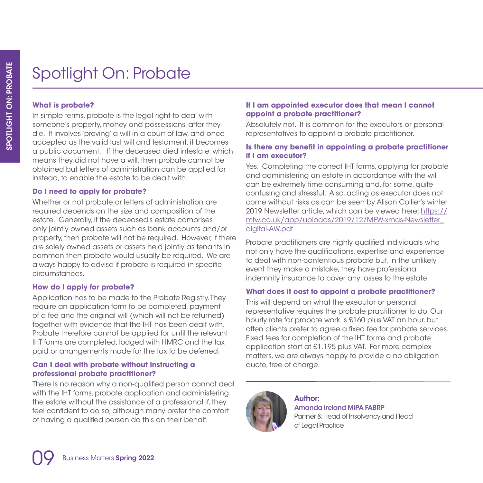## Spotlight On: Probate

#### **What is probate?**

In simple terms, probate is the legal right to deal with someone's property, money and possessions, after they die. It involves 'proving' a will in a court of law, and once accepted as the valid last will and testament, it becomes a public document. If the deceased died intestate, which means they did not have a will, then probate cannot be obtained but letters of administration can be applied for instead, to enable the estate to be dealt with.

#### **Do I need to apply for probate?**

Whether or not probate or letters of administration are required depends on the size and composition of the estate. Generally, if the deceased's estate comprises only jointly owned assets such as bank accounts and/or property, then probate will not be required. However, if there are solely owned assets or assets held jointly as tenants in common then probate would usually be required. We are always happy to advise if probate is required in specific circumstances.

#### **How do I apply for probate?**

Application has to be made to the Probate Registry. They require an application form to be completed, payment of a fee and the original will (which will not be returned) together with evidence that the IHT has been dealt with. Probate therefore cannot be applied for until the relevant IHT forms are completed, lodged with HMRC and the tax paid or arrangements made for the tax to be deferred.

#### **Can I deal with probate without instructing a professional probate practitioner?**

There is no reason why a non-qualified person cannot deal with the IHT forms, probate application and administering the estate without the assistance of a professional if, they feel confident to do so, although many prefer the comfort of having a qualified person do this on their behalf.

#### **If I am appointed executor does that mean I cannot appoint a probate practitioner?**

Absolutely not. It is common for the executors or personal representatives to appoint a probate practitioner.

#### **Is there any benefit in appointing a probate practitioner if I am executor?**

Yes. Completing the correct IHT forms, applying for probate and administering an estate in accordance with the will can be extremely time consuming and, for some, quite confusing and stressful. Also, acting as executor does not come without risks as can be seen by Alison Collier's winter 2019 Newsletter article, which can be viewed here: https:// mfw.co.uk/app/uploads/2019/12/MFW-xmas-Newsletter\_ digital-AW.pdf

Probate practitioners are highly qualified individuals who not only have the qualifications, expertise and experience to deal with non-contentious probate but, in the unlikely event they make a mistake, they have professional indemnity insurance to cover any losses to the estate.

#### **What does it cost to appoint a probate practitioner?**

This will depend on what the executor or personal representative requires the probate practitioner to do. Our hourly rate for probate work is £160 plus VAT an hour, but often clients prefer to agree a fixed fee for probate services. Fixed fees for completion of the IHT forms and probate application start at £1,195 plus VAT. For more complex matters, we are always happy to provide a no obligation quote, free of charge.

![](_page_9_Picture_17.jpeg)

#### Author:

Amanda Ireland MIPA FABRP Partner & Head of Insolvency and Head of Legal Practice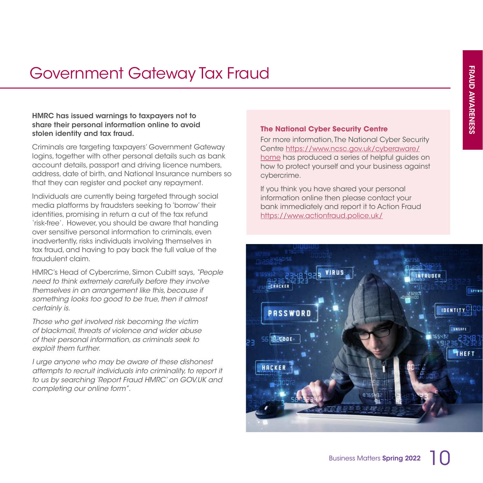## Government Gateway Tax Fraud

#### HMRC has issued warnings to taxpayers not to share their personal information online to avoid stolen identity and tax fraud.

Criminals are targeting taxpayers' Government Gateway logins, together with other personal details such as bank account details, passport and driving licence numbers, address, date of birth, and National Insurance numbers so that they can register and pocket any repayment.

Individuals are currently being targeted through social media platforms by fraudsters seeking to 'borrow' their identities, promising in return a cut of the tax refund 'risk-free'. However, you should be aware that handing over sensitive personal information to criminals, even inadvertently, risks individuals involving themselves in tax fraud, and having to pay back the full value of the fraudulent claim.

HMRC's Head of Cybercrime, Simon Cubitt says, *"People need to think extremely carefully before they involve themselves in an arrangement like this, because if something looks too good to be true, then it almost certainly is.*

*Those who get involved risk becoming the victim of blackmail, threats of violence and wider abuse of their personal information, as criminals seek to exploit them further.*

*I urge anyone who may be aware of these dishonest attempts to recruit individuals into criminality, to report it to us by searching 'Report Fraud HMRC' on GOV.UK and completing our online form".*

#### **The National Cyber Security Centre**

For more information, The National Cyber Security Centre https://www.ncsc.gov.uk/cyberaware/ home has produced a series of helpful guides on how to protect yourself and your business against cybercrime.

If you think you have shared your personal information online then please contact your bank immediately and report it to Action Fraud https://www.actionfraud.police.uk/

![](_page_10_Picture_11.jpeg)